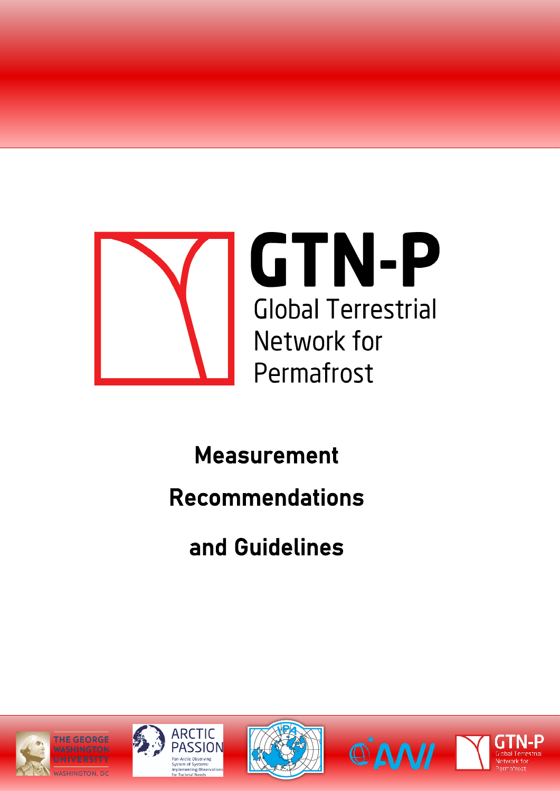

# Measurement

# Recommendations

and Guidelines









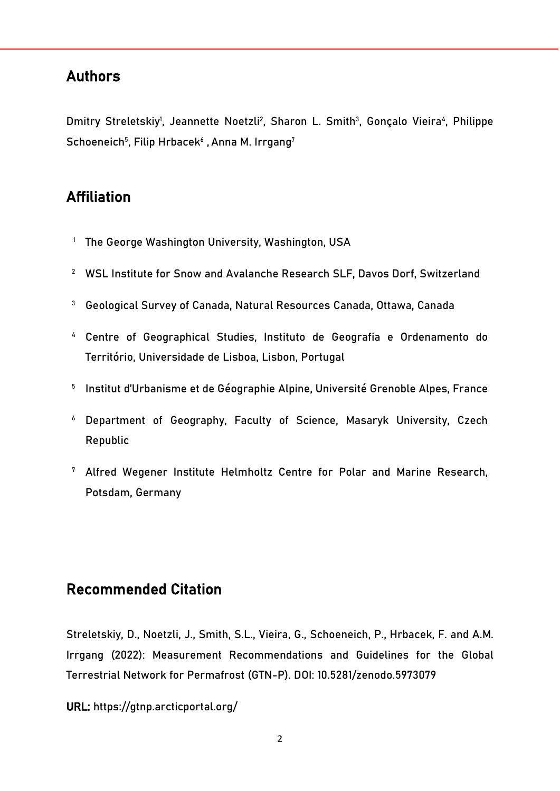## Authors

Dmitry Streletskiy<sup>1</sup>, Jeannette Noetzli<sup>2</sup>, Sharon L. Smith<sup>3</sup>, Gonçalo Vieira<sup>4</sup>, Philippe  ${\sf Schoeneich}^{5}$ , Filip Hrbacek $^{\circ}$  , Anna M. Irrgang $^7$ 

## Affiliation

- <sup>1</sup> The George Washington University, Washington, USA
- <sup>2</sup> WSL Institute for Snow and Avalanche Research SLF, Davos Dorf, Switzerland
- <sup>3</sup> Geological Survey of Canada, Natural Resources Canada, Ottawa, Canada
- <sup>4</sup> Centre of Geographical Studies, Instituto de Geografia e Ordenamento do Território, Universidade de Lisboa, Lisbon, Portugal
- <sup>5</sup> Institut d'Urbanisme et de Géographie Alpine, Université Grenoble Alpes, France
- <sup>6</sup> Department of Geography, Faculty of Science, Masaryk University, Czech Republic
- <sup>7</sup> Alfred Wegener Institute Helmholtz Centre for Polar and Marine Research, Potsdam, Germany

## Recommended Citation

Streletskiy, D., Noetzli, J., Smith, S.L., Vieira, G., Schoeneich, P., Hrbacek, F. and A.M. Irrgang (2022): Measurement Recommendations and Guidelines for the Global Terrestrial Network for Permafrost (GTN-P). DOI: 10.5281/zenodo.5973079

URL: https://gtnp.arcticportal.org/f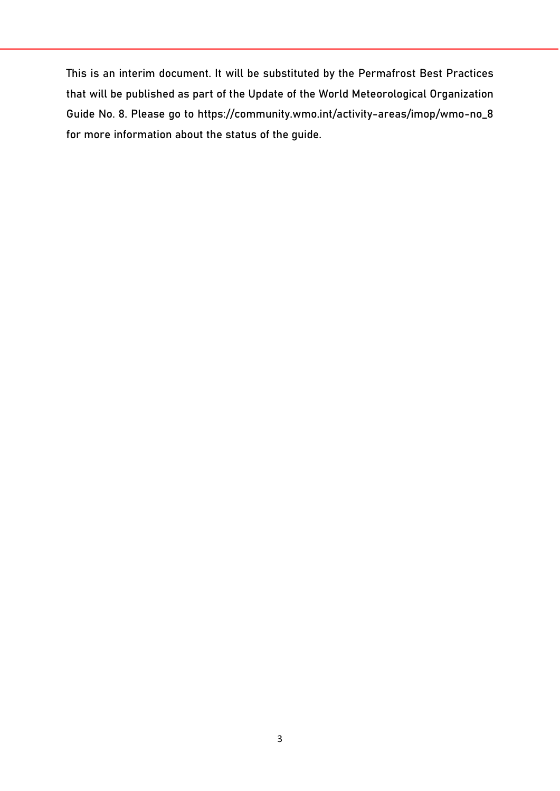This is an interim document. It will be substituted by the Permafrost Best Practices that will be published as part of the Update of the World Meteorological Organization Guide No. 8. Please go to [https://community.wmo.int/activity-areas/imop/wmo-no\\_8](https://community.wmo.int/activity-areas/imop/wmo-no_8) for more information about the status of the guide.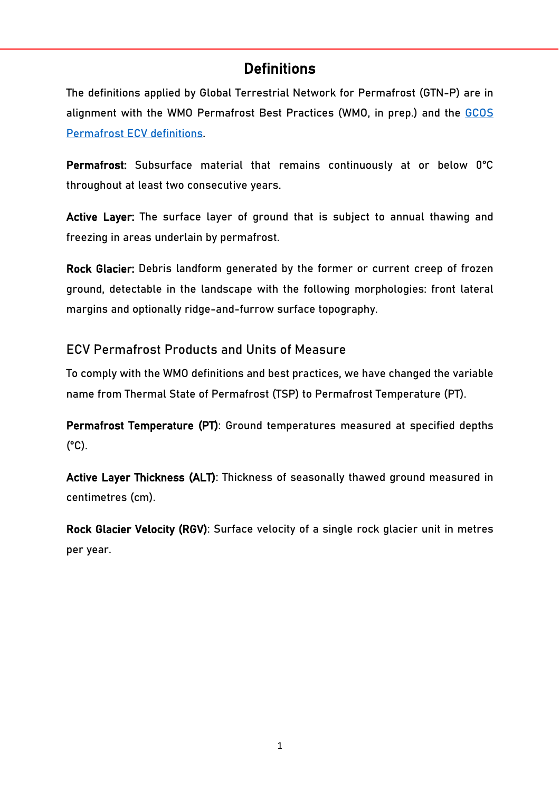## **Definitions**

The definitions applied by Global Terrestrial Network for Permafrost (GTN-P) are in alignment with the WMO Permafrost Best Practices (WMO, in prep.) and the [GCOS](https://gcos.wmo.int/en/essential-climate-variables/permafrost)  [Permafrost ECV definitions.](https://gcos.wmo.int/en/essential-climate-variables/permafrost)

Permafrost: Subsurface material that remains continuously at or below 0°C throughout at least two consecutive years.

Active Layer: The surface layer of ground that is subject to annual thawing and freezing in areas underlain by permafrost.

Rock Glacier: Debris landform generated by the former or current creep of frozen ground, detectable in the landscape with the following morphologies: front lateral margins and optionally ridge-and-furrow surface topography.

### ECV Permafrost Products and Units of Measure

To comply with the WMO definitions and best practices, we have changed the variable name from Thermal State of Permafrost (TSP) to Permafrost Temperature (PT).

Permafrost Temperature (PT): Ground temperatures measured at specified depths  $(^{\circ}C)$ .

Active Layer Thickness (ALT): Thickness of seasonally thawed ground measured in centimetres (cm).

Rock Glacier Velocity (RGV): Surface velocity of a single rock glacier unit in metres per year.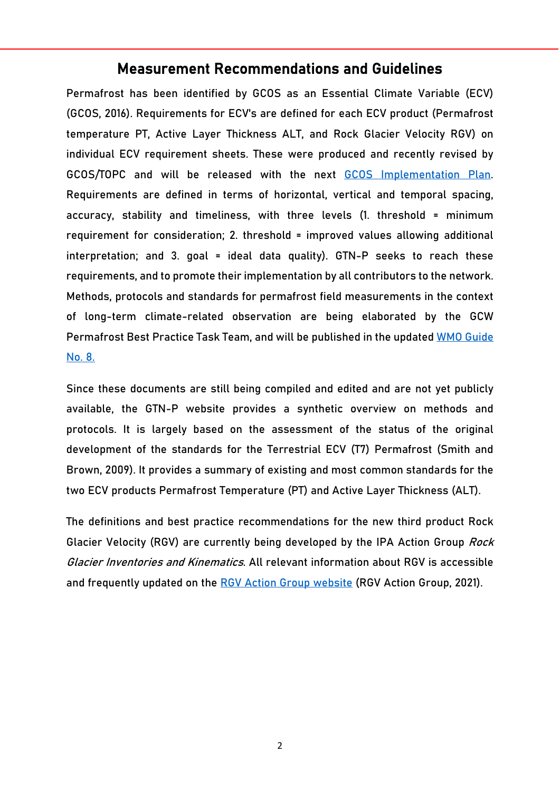### Measurement Recommendations and Guidelines

Permafrost has been identified by GCOS as an Essential Climate Variable (ECV) (GCOS, 2016). Requirements for ECV's are defined for each ECV product (Permafrost temperature PT, Active Layer Thickness ALT, and Rock Glacier Velocity RGV) on individual ECV requirement sheets. These were produced and recently revised by GCOS/TOPC and will be released with the next [GCOS Implementation Plan.](https://gcos.wmo.int/en/gcos-implementation-plan) Requirements are defined in terms of horizontal, vertical and temporal spacing, accuracy, stability and timeliness, with three levels (1. threshold = minimum requirement for consideration; 2. threshold = improved values allowing additional interpretation; and 3. goal = ideal data quality). GTN-P seeks to reach these requirements, and to promote their implementation by all contributors to the network. Methods, protocols and standards for permafrost field measurements in the context of long-term climate-related observation are being elaborated by the GCW Permafrost Best Practice Task Team, and will be published in the updated [WMO Guide](https://community.wmo.int/activity-areas/imop/wmo-no_8)  [No. 8.](https://community.wmo.int/activity-areas/imop/wmo-no_8)

Since these documents are still being compiled and edited and are not yet publicly available, the GTN-P website provides a synthetic overview on methods and protocols. It is largely based on the assessment of the status of the original development of the standards for the Terrestrial ECV (T7) Permafrost (Smith and Brown, 2009). It provides a summary of existing and most common standards for the two ECV products Permafrost Temperature (PT) and Active Layer Thickness (ALT).

The definitions and best practice recommendations for the new third product Rock Glacier Velocity (RGV) are currently being developed by the IPA Action Group Rock Glacier Inventories and Kinematics. All relevant information about RGV is accessible and frequently updated on the [RGV Action Group website](https://www.unifr.ch/geo/geomorphology/en/research/ipa-action-group-rock-glacier/) (RGV Action Group, 2021).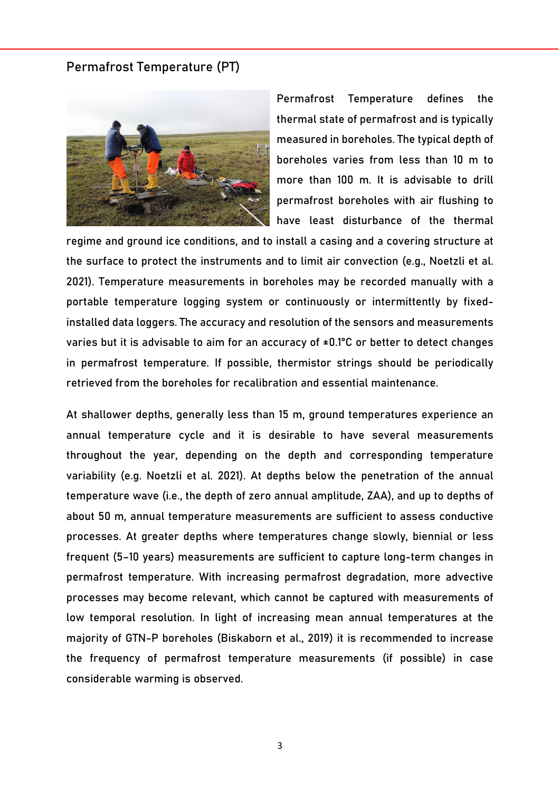#### Permafrost Temperature (PT)



Permafrost Temperature defines the thermal state of permafrost and is typically measured in boreholes. The typical depth of boreholes varies from less than 10 m to more than 100 m. It is advisable to drill permafrost boreholes with air flushing to have least disturbance of the thermal

regime and ground ice conditions, and to install a casing and a covering structure at the surface to protect the instruments and to limit air convection (e.g., Noetzli et al. 2021). Temperature measurements in boreholes may be recorded manually with a portable temperature logging system or continuously or intermittently by fixedinstalled data loggers. The accuracy and resolution of the sensors and measurements varies but it is advisable to aim for an accuracy of  $\pm 0.1$ °C or better to detect changes in permafrost temperature. If possible, thermistor strings should be periodically retrieved from the boreholes for recalibration and essential maintenance.

At shallower depths, generally less than 15 m, ground temperatures experience an annual temperature cycle and it is desirable to have several measurements throughout the year, depending on the depth and corresponding temperature variability (e.g. Noetzli et al. 2021). At depths below the penetration of the annual temperature wave (i.e., the depth of zero annual amplitude, ZAA), and up to depths of about 50 m, annual temperature measurements are sufficient to assess conductive processes. At greater depths where temperatures change slowly, biennial or less frequent (5–10 years) measurements are sufficient to capture long-term changes in permafrost temperature. With increasing permafrost degradation, more advective processes may become relevant, which cannot be captured with measurements of low temporal resolution. In light of increasing mean annual temperatures at the majority of GTN-P boreholes (Biskaborn et al., 2019) it is recommended to increase the frequency of permafrost temperature measurements (if possible) in case considerable warming is observed.

3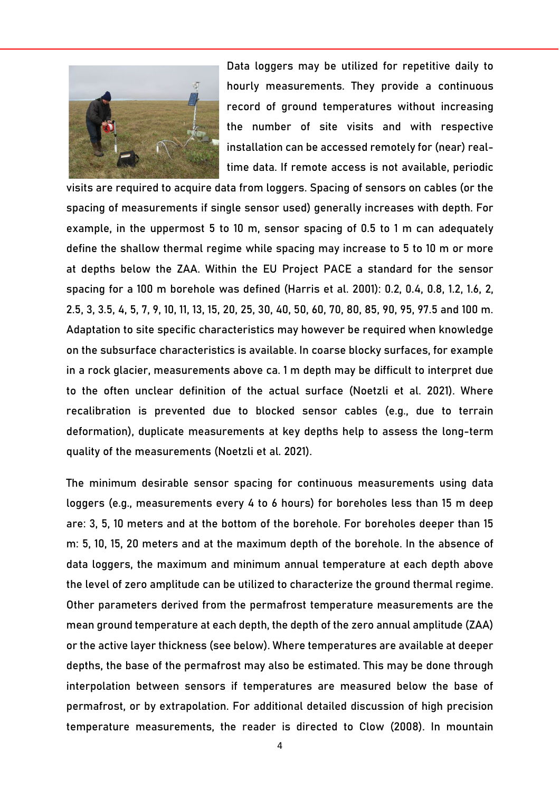

Data loggers may be utilized for repetitive daily to hourly measurements. They provide a continuous record of ground temperatures without increasing the number of site visits and with respective installation can be accessed remotely for (near) realtime data. If remote access is not available, periodic

visits are required to acquire data from loggers. Spacing of sensors on cables (or the spacing of measurements if single sensor used) generally increases with depth. For example, in the uppermost 5 to 10 m, sensor spacing of 0.5 to 1 m can adequately define the shallow thermal regime while spacing may increase to 5 to 10 m or more at depths below the ZAA. Within the EU Project PACE a standard for the sensor spacing for a 100 m borehole was defined (Harris et al. 2001): 0.2, 0.4, 0.8, 1.2, 1.6, 2, 2.5, 3, 3.5, 4, 5, 7, 9, 10, 11, 13, 15, 20, 25, 30, 40, 50, 60, 70, 80, 85, 90, 95, 97.5 and 100 m. Adaptation to site specific characteristics may however be required when knowledge on the subsurface characteristics is available. In coarse blocky surfaces, for example in a rock glacier, measurements above ca. 1 m depth may be difficult to interpret due to the often unclear definition of the actual surface (Noetzli et al. 2021). Where recalibration is prevented due to blocked sensor cables (e.g., due to terrain deformation), duplicate measurements at key depths help to assess the long-term quality of the measurements (Noetzli et al. 2021).

The minimum desirable sensor spacing for continuous measurements using data loggers (e.g., measurements every 4 to 6 hours) for boreholes less than 15 m deep are: 3, 5, 10 meters and at the bottom of the borehole. For boreholes deeper than 15 m: 5, 10, 15, 20 meters and at the maximum depth of the borehole. In the absence of data loggers, the maximum and minimum annual temperature at each depth above the level of zero amplitude can be utilized to characterize the ground thermal regime. Other parameters derived from the permafrost temperature measurements are the mean ground temperature at each depth, the depth of the zero annual amplitude (ZAA) or the active layer thickness (see below). Where temperatures are available at deeper depths, the base of the permafrost may also be estimated. This may be done through interpolation between sensors if temperatures are measured below the base of permafrost, or by extrapolation. For additional detailed discussion of high precision temperature measurements, the reader is directed to Clow (2008). In mountain

4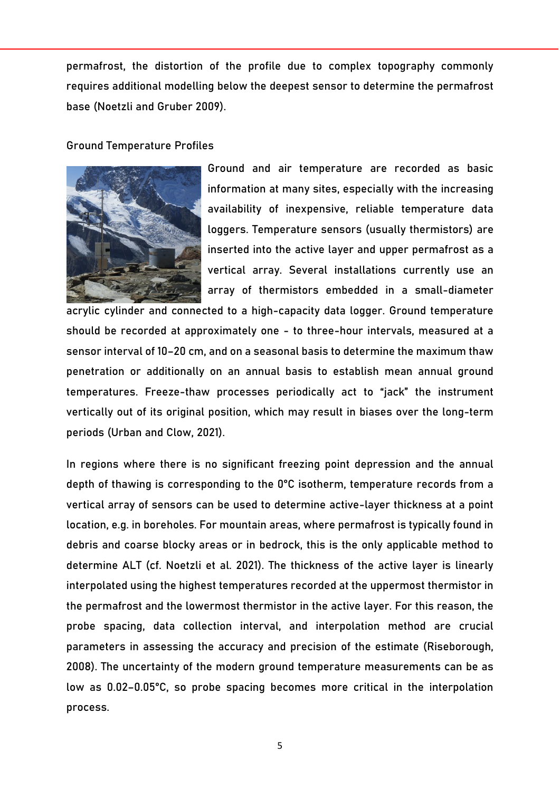permafrost, the distortion of the profile due to complex topography commonly requires additional modelling below the deepest sensor to determine the permafrost base (Noetzli and Gruber 2009).

#### Ground Temperature Profiles



Ground and air temperature are recorded as basic information at many sites, especially with the increasing availability of inexpensive, reliable temperature data loggers. Temperature sensors (usually thermistors) are inserted into the active layer and upper permafrost as a vertical array. Several installations currently use an array of thermistors embedded in a small-diameter

acrylic cylinder and connected to a high-capacity data logger. Ground temperature should be recorded at approximately one - to three-hour intervals, measured at a sensor interval of 10–20 cm, and on a seasonal basis to determine the maximum thaw penetration or additionally on an annual basis to establish mean annual ground temperatures. Freeze-thaw processes periodically act to "jack" the instrument vertically out of its original position, which may result in biases over the long-term periods (Urban and Clow, 2021).

In regions where there is no significant freezing point depression and the annual depth of thawing is corresponding to the 0°C isotherm, temperature records from a vertical array of sensors can be used to determine active-layer thickness at a point location, e.g. in boreholes. For mountain areas, where permafrost is typically found in debris and coarse blocky areas or in bedrock, this is the only applicable method to determine ALT (cf. Noetzli et al. 2021). The thickness of the active layer is linearly interpolated using the highest temperatures recorded at the uppermost thermistor in the permafrost and the lowermost thermistor in the active layer. For this reason, the probe spacing, data collection interval, and interpolation method are crucial parameters in assessing the accuracy and precision of the estimate (Riseborough, 2008). The uncertainty of the modern ground temperature measurements can be as low as 0.02–0.05°C, so probe spacing becomes more critical in the interpolation process.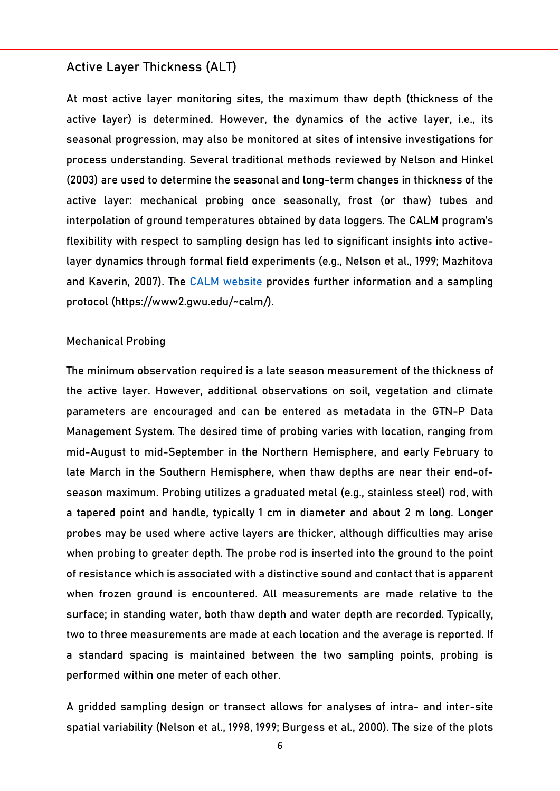#### Active Layer Thickness (ALT)

At most active layer monitoring sites, the maximum thaw depth (thickness of the active layer) is determined. However, the dynamics of the active layer, i.e., its seasonal progression, may also be monitored at sites of intensive investigations for process understanding. Several traditional methods reviewed by Nelson and Hinkel (2003) are used to determine the seasonal and long-term changes in thickness of the active layer: mechanical probing once seasonally, frost (or thaw) tubes and interpolation of ground temperatures obtained by data loggers. The CALM program's flexibility with respect to sampling design has led to significant insights into activelayer dynamics through formal field experiments (e.g., Nelson et al., 1999; Mazhitova and Kaverin, 2007). The [CALM website](https://www2.gwu.edu/%7Ecalm/) provides further information and a sampling protocol (https://www2.gwu.edu/~calm/).

#### Mechanical Probing

The minimum observation required is a late season measurement of the thickness of the active layer. However, additional observations on soil, vegetation and climate parameters are encouraged and can be entered as metadata in the GTN-P Data Management System. The desired time of probing varies with location, ranging from mid-August to mid-September in the Northern Hemisphere, and early February to late March in the Southern Hemisphere, when thaw depths are near their end-ofseason maximum. Probing utilizes a graduated metal (e.g., stainless steel) rod, with a tapered point and handle, typically 1 cm in diameter and about 2 m long. Longer probes may be used where active layers are thicker, although difficulties may arise when probing to greater depth. The probe rod is inserted into the ground to the point of resistance which is associated with a distinctive sound and contact that is apparent when frozen ground is encountered. All measurements are made relative to the surface; in standing water, both thaw depth and water depth are recorded. Typically, two to three measurements are made at each location and the average is reported. If a standard spacing is maintained between the two sampling points, probing is performed within one meter of each other.

A gridded sampling design or transect allows for analyses of intra- and inter-site spatial variability (Nelson et al., 1998, 1999; Burgess et al., 2000). The size of the plots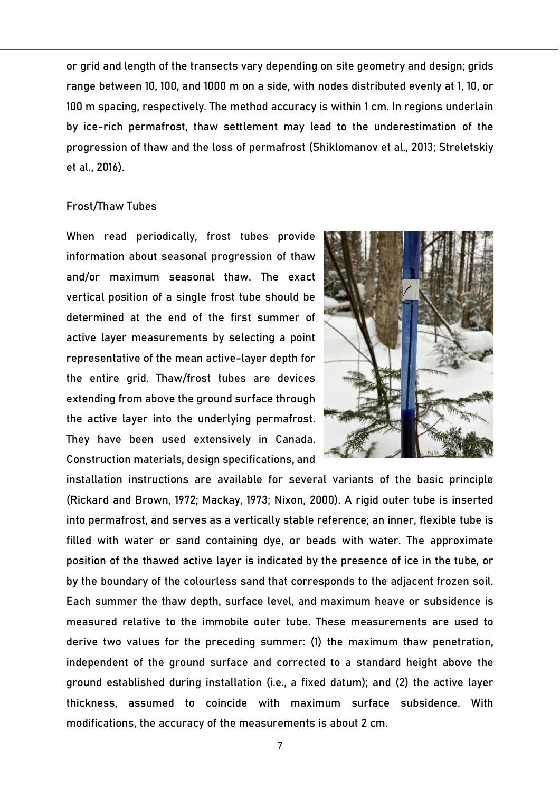or grid and length of the transects vary depending on site geometry and design; grids range between 10, 100, and 1000 m on a side, with nodes distributed evenly at 1, 10, or 100 m spacing, respectively. The method accuracy is within 1 cm. In regions underlain by ice-rich permafrost, thaw settlement may lead to the underestimation of the progression of thaw and the loss of permafrost (Shiklomanov et al., 2013; Streletskiy et al., 2016).

#### Frost/Thaw Tubes

When read periodically, frost tubes provide information about seasonal progression of thaw and/or maximum seasonal thaw. The exact vertical position of a single frost tube should be determined at the end of the first summer of active layer measurements by selecting a point representative of the mean active-layer depth for the entire grid. Thaw/frost tubes are devices extending from above the ground surface through the active layer into the underlying permafrost. They have been used extensively in Canada. Construction materials, design specifications, and



installation instructions are available for several variants of the basic principle (Rickard and Brown, 1972; Mackay, 1973; Nixon, 2000). A rigid outer tube is inserted into permafrost, and serves as a vertically stable reference; an inner, flexible tube is filled with water or sand containing dye, or beads with water. The approximate position of the thawed active layer is indicated by the presence of ice in the tube, or by the boundary of the colourless sand that corresponds to the adjacent frozen soil. Each summer the thaw depth, surface level, and maximum heave or subsidence is measured relative to the immobile outer tube. These measurements are used to derive two values for the preceding summer: (1) the maximum thaw penetration, independent of the ground surface and corrected to a standard height above the ground established during installation (i.e., a fixed datum); and (2) the active layer thickness, assumed to coincide with maximum surface subsidence. With modifications, the accuracy of the measurements is about 2 cm.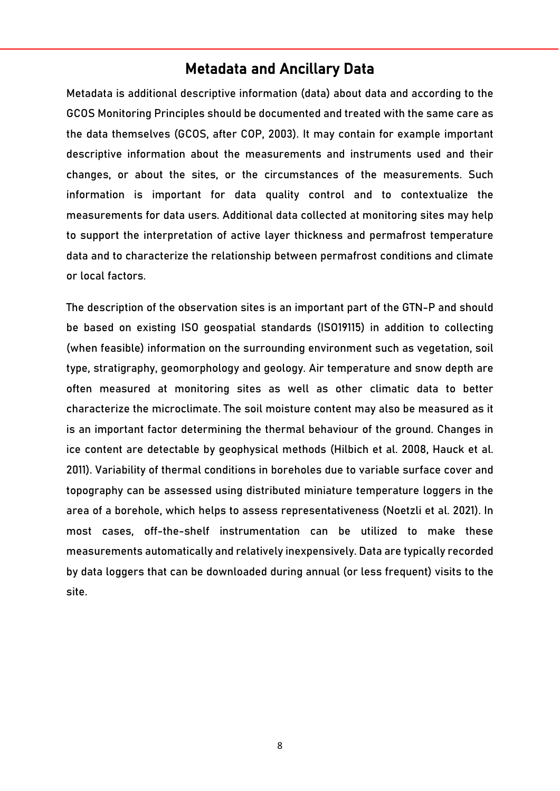## Metadata and Ancillary Data

Metadata is additional descriptive information (data) about data and according to the GCOS Monitoring Principles should be documented and treated with the same care as the data themselves (GCOS, after COP, 2003). It may contain for example important descriptive information about the measurements and instruments used and their changes, or about the sites, or the circumstances of the measurements. Such information is important for data quality control and to contextualize the measurements for data users. Additional data collected at monitoring sites may help to support the interpretation of active layer thickness and permafrost temperature data and to characterize the relationship between permafrost conditions and climate or local factors.

The description of the observation sites is an important part of the GTN-P and should be based on existing ISO geospatial standards (ISO19115) in addition to collecting (when feasible) information on the surrounding environment such as vegetation, soil type, stratigraphy, geomorphology and geology. Air temperature and snow depth are often measured at monitoring sites as well as other climatic data to better characterize the microclimate. The soil moisture content may also be measured as it is an important factor determining the thermal behaviour of the ground. Changes in ice content are detectable by geophysical methods (Hilbich et al. 2008, Hauck et al. 2011). Variability of thermal conditions in boreholes due to variable surface cover and topography can be assessed using distributed miniature temperature loggers in the area of a borehole, which helps to assess representativeness (Noetzli et al. 2021). In most cases, off-the-shelf instrumentation can be utilized to make these measurements automatically and relatively inexpensively. Data are typically recorded by data loggers that can be downloaded during annual (or less frequent) visits to the site.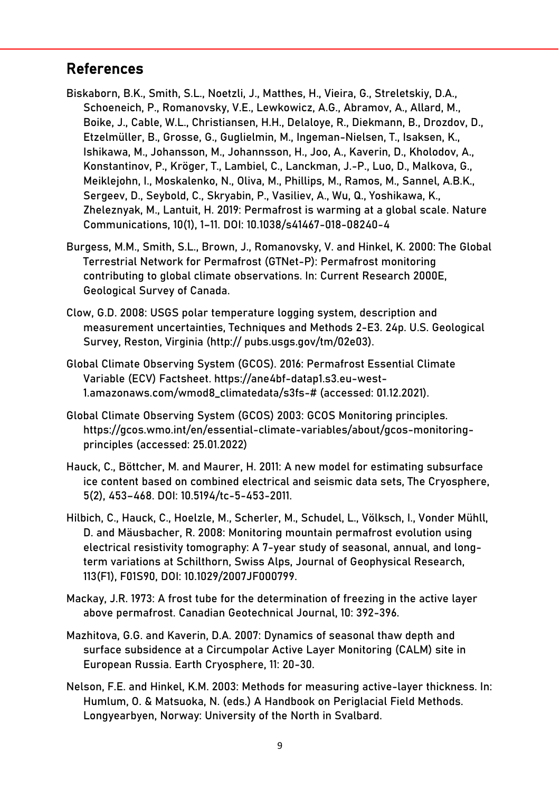## References

- Biskaborn, B.K., Smith, S.L., Noetzli, J., Matthes, H., Vieira, G., Streletskiy, D.A., Schoeneich, P., Romanovsky, V.E., Lewkowicz, A.G., Abramov, A., Allard, M., Boike, J., Cable, W.L., Christiansen, H.H., Delaloye, R., Diekmann, B., Drozdov, D., Etzelmüller, B., Grosse, G., Guglielmin, M., Ingeman-Nielsen, T., Isaksen, K., Ishikawa, M., Johansson, M., Johannsson, H., Joo, A., Kaverin, D., Kholodov, A., Konstantinov, P., Kröger, T., Lambiel, C., Lanckman, J.-P., Luo, D., Malkova, G., Meiklejohn, I., Moskalenko, N., Oliva, M., Phillips, M., Ramos, M., Sannel, A.B.K., Sergeev, D., Seybold, C., Skryabin, P., Vasiliev, A., Wu, Q., Yoshikawa, K., Zheleznyak, M., Lantuit, H. 2019: Permafrost is warming at a global scale. Nature Communications, 10(1), 1–11. DOI: 10.1038/s41467-018-08240-4
- Burgess, M.M., Smith, S.L., Brown, J., Romanovsky, V. and Hinkel, K. 2000: The Global Terrestrial Network for Permafrost (GTNet-P): Permafrost monitoring contributing to global climate observations. In: Current Research 2000E, Geological Survey of Canada.
- Clow, G.D. 2008: USGS polar temperature logging system, description and measurement uncertainties, Techniques and Methods 2-E3. 24p. U.S. Geological Survey, Reston, Virginia (http:// pubs.usgs.gov/tm/02e03).
- Global Climate Observing System (GCOS). 2016: Permafrost Essential Climate Variable (ECV) Factsheet. https://ane4bf-datap1.s3.eu-west-1.amazonaws.com/wmod8\_climatedata/s3fs-# (accessed: 01.12.2021).
- Global Climate Observing System (GCOS) 2003: GCOS Monitoring principles. https://gcos.wmo.int/en/essential-climate-variables/about/gcos-monitoringprinciples (accessed: 25.01.2022)
- Hauck, C., Böttcher, M. and Maurer, H. 2011: A new model for estimating subsurface ice content based on combined electrical and seismic data sets, The Cryosphere, 5(2), 453–468. DOI: 10.5194/tc-5-453-2011.
- Hilbich, C., Hauck, C., Hoelzle, M., Scherler, M., Schudel, L., Völksch, I., Vonder Mühll, D. and Mäusbacher, R. 2008: Monitoring mountain permafrost evolution using electrical resistivity tomography: A 7-year study of seasonal, annual, and longterm variations at Schilthorn, Swiss Alps, Journal of Geophysical Research, 113(F1), F01S90, DOI: 10.1029/2007JF000799.
- Mackay, J.R. 1973: A frost tube for the determination of freezing in the active layer above permafrost. Canadian Geotechnical Journal, 10: 392-396.
- Mazhitova, G.G. and Kaverin, D.A. 2007: Dynamics of seasonal thaw depth and surface subsidence at a Circumpolar Active Layer Monitoring (CALM) site in European Russia. Earth Cryosphere, 11: 20-30.
- Nelson, F.E. and Hinkel, K.M. 2003: Methods for measuring active-layer thickness. In: Humlum, O. & Matsuoka, N. (eds.) A Handbook on Periglacial Field Methods. Longyearbyen, Norway: University of the North in Svalbard.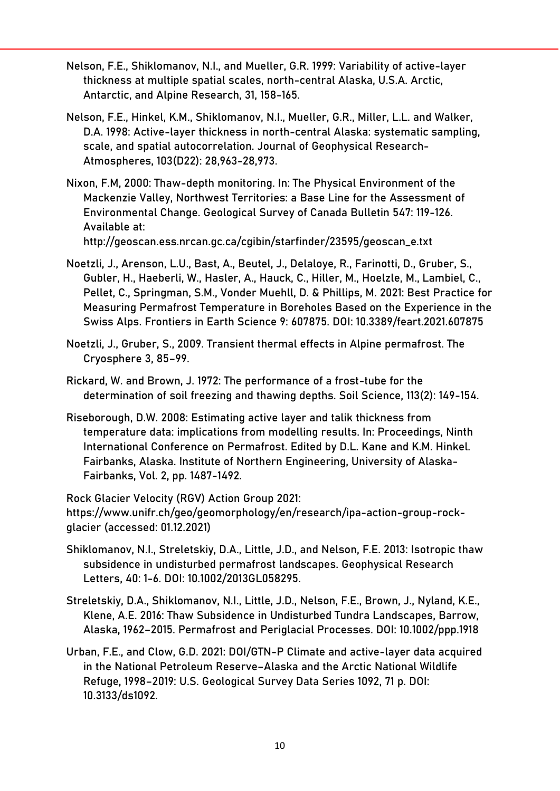- Nelson, F.E., Shiklomanov, N.I., and Mueller, G.R. 1999: Variability of active-layer thickness at multiple spatial scales, north-central Alaska, U.S.A. Arctic, Antarctic, and Alpine Research, 31, 158-165.
- Nelson, F.E., Hinkel, K.M., Shiklomanov, N.I., Mueller, G.R., Miller, L.L. and Walker, D.A. 1998: Active-layer thickness in north-central Alaska: systematic sampling, scale, and spatial autocorrelation. Journal of Geophysical Research-Atmospheres, 103(D22): 28,963-28,973.
- Nixon, F.M, 2000: Thaw-depth monitoring. In: The Physical Environment of the Mackenzie Valley, Northwest Territories: a Base Line for the Assessment of Environmental Change. Geological Survey of Canada Bulletin 547: 119-126. Available at: http://geoscan.ess.nrcan.gc.ca/cgibin/starfinder/23595/geoscan\_e.txt
- Noetzli, J., Arenson, L.U., Bast, A., Beutel, J., Delaloye, R., Farinotti, D., Gruber, S., Gubler, H., Haeberli, W., Hasler, A., Hauck, C., Hiller, M., Hoelzle, M., Lambiel, C., Pellet, C., Springman, S.M., Vonder Muehll, D. & Phillips, M. 2021: Best Practice for Measuring Permafrost Temperature in Boreholes Based on the Experience in the Swiss Alps. Frontiers in Earth Science 9: 607875. DOI: 10.3389/feart.2021.607875
- Noetzli, J., Gruber, S., 2009. Transient thermal effects in Alpine permafrost. The Cryosphere 3, 85–99.
- Rickard, W. and Brown, J. 1972: The performance of a frost-tube for the determination of soil freezing and thawing depths. Soil Science, 113(2): 149-154.
- Riseborough, D.W. 2008: Estimating active layer and talik thickness from temperature data: implications from modelling results. In: Proceedings, Ninth International Conference on Permafrost. Edited by D.L. Kane and K.M. Hinkel. Fairbanks, Alaska. Institute of Northern Engineering, University of Alaska-Fairbanks, Vol. 2, pp. 1487-1492.

Rock Glacier Velocity (RGV) Action Group 2021: https://www.unifr.ch/geo/geomorphology/en/research/ipa-action-group-rockglacier (accessed: 01.12.2021)

- Shiklomanov, N.I., Streletskiy, D.A., Little, J.D., and Nelson, F.E. 2013: Isotropic thaw subsidence in undisturbed permafrost landscapes. Geophysical Research Letters, 40: 1-6. DOI: 10.1002/2013GL058295.
- Streletskiy, D.A., Shiklomanov, N.I., Little, J.D., Nelson, F.E., Brown, J., Nyland, K.E., Klene, A.E. 2016: Thaw Subsidence in Undisturbed Tundra Landscapes, Barrow, Alaska, 1962–2015. Permafrost and Periglacial Processes. DOI: 10.1002/ppp.1918
- Urban, F.E., and Clow, G.D. 2021: DOI/GTN-P Climate and active-layer data acquired in the National Petroleum Reserve–Alaska and the Arctic National Wildlife Refuge, 1998–2019: U.S. Geological Survey Data Series 1092, 71 p. DOI: 10.3133/ds1092.